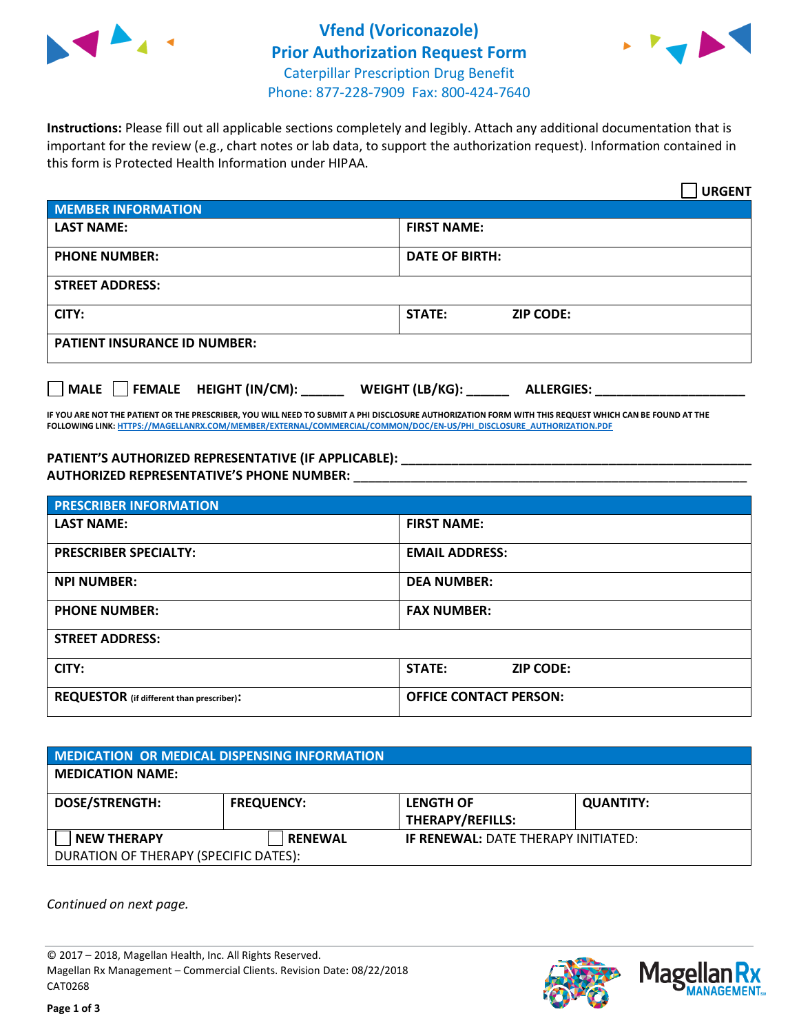



**Instructions:** Please fill out all applicable sections completely and legibly. Attach any additional documentation that is important for the review (e.g., chart notes or lab data, to support the authorization request). Information contained in this form is Protected Health Information under HIPAA.

|                                     | <b>URGENT</b>                        |  |  |  |
|-------------------------------------|--------------------------------------|--|--|--|
| <b>MEMBER INFORMATION</b>           |                                      |  |  |  |
| <b>LAST NAME:</b>                   | <b>FIRST NAME:</b>                   |  |  |  |
| <b>PHONE NUMBER:</b>                | <b>DATE OF BIRTH:</b>                |  |  |  |
| <b>STREET ADDRESS:</b>              |                                      |  |  |  |
| CITY:                               | STATE:<br><b>ZIP CODE:</b>           |  |  |  |
| <b>PATIENT INSURANCE ID NUMBER:</b> |                                      |  |  |  |
| FEMALE HEIGHT (IN/CM):<br>  MALE    | WEIGHT (LB/KG):<br><b>ALLERGIES:</b> |  |  |  |

**IF YOU ARE NOT THE PATIENT OR THE PRESCRIBER, YOU WILL NEED TO SUBMIT A PHI DISCLOSURE AUTHORIZATION FORM WITH THIS REQUEST WHICH CAN BE FOUND AT THE FOLLOWING LINK[: HTTPS://MAGELLANRX.COM/MEMBER/EXTERNAL/COMMERCIAL/COMMON/DOC/EN-US/PHI\\_DISCLOSURE\\_AUTHORIZATION.PDF](https://magellanrx.com/member/external/commercial/common/doc/en-us/PHI_Disclosure_Authorization.pdf)**

PATIENT'S AUTHORIZED REPRESENTATIVE (IF APPLICABLE): **AUTHORIZED REPRESENTATIVE'S PHONE NUMBER:** \_\_\_\_\_\_\_\_\_\_\_\_\_\_\_\_\_\_\_\_\_\_\_\_\_\_\_\_\_\_\_\_\_\_\_\_\_\_\_\_\_\_\_\_\_\_\_\_\_\_\_\_\_\_\_

| <b>PRESCRIBER INFORMATION</b>             |                                   |  |  |
|-------------------------------------------|-----------------------------------|--|--|
| <b>LAST NAME:</b>                         | <b>FIRST NAME:</b>                |  |  |
| <b>PRESCRIBER SPECIALTY:</b>              | <b>EMAIL ADDRESS:</b>             |  |  |
| <b>NPI NUMBER:</b>                        | <b>DEA NUMBER:</b>                |  |  |
| <b>PHONE NUMBER:</b>                      | <b>FAX NUMBER:</b>                |  |  |
| <b>STREET ADDRESS:</b>                    |                                   |  |  |
| CITY:                                     | <b>STATE:</b><br><b>ZIP CODE:</b> |  |  |
| REQUESTOR (if different than prescriber): | <b>OFFICE CONTACT PERSON:</b>     |  |  |

| <b>MEDICATION OR MEDICAL DISPENSING INFORMATION</b> |                   |                                            |                  |  |  |
|-----------------------------------------------------|-------------------|--------------------------------------------|------------------|--|--|
| <b>MEDICATION NAME:</b>                             |                   |                                            |                  |  |  |
| <b>DOSE/STRENGTH:</b>                               | <b>FREQUENCY:</b> | <b>LENGTH OF</b>                           | <b>QUANTITY:</b> |  |  |
|                                                     |                   | <b>THERAPY/REFILLS:</b>                    |                  |  |  |
| <b>NEW THERAPY</b>                                  | <b>RENEWAL</b>    | <b>IF RENEWAL: DATE THERAPY INITIATED:</b> |                  |  |  |
| DURATION OF THERAPY (SPECIFIC DATES):               |                   |                                            |                  |  |  |

*Continued on next page.*

© 2017 – 2018, Magellan Health, Inc. All Rights Reserved. Magellan Rx Management – Commercial Clients. Revision Date: 08/22/2018 CAT0268



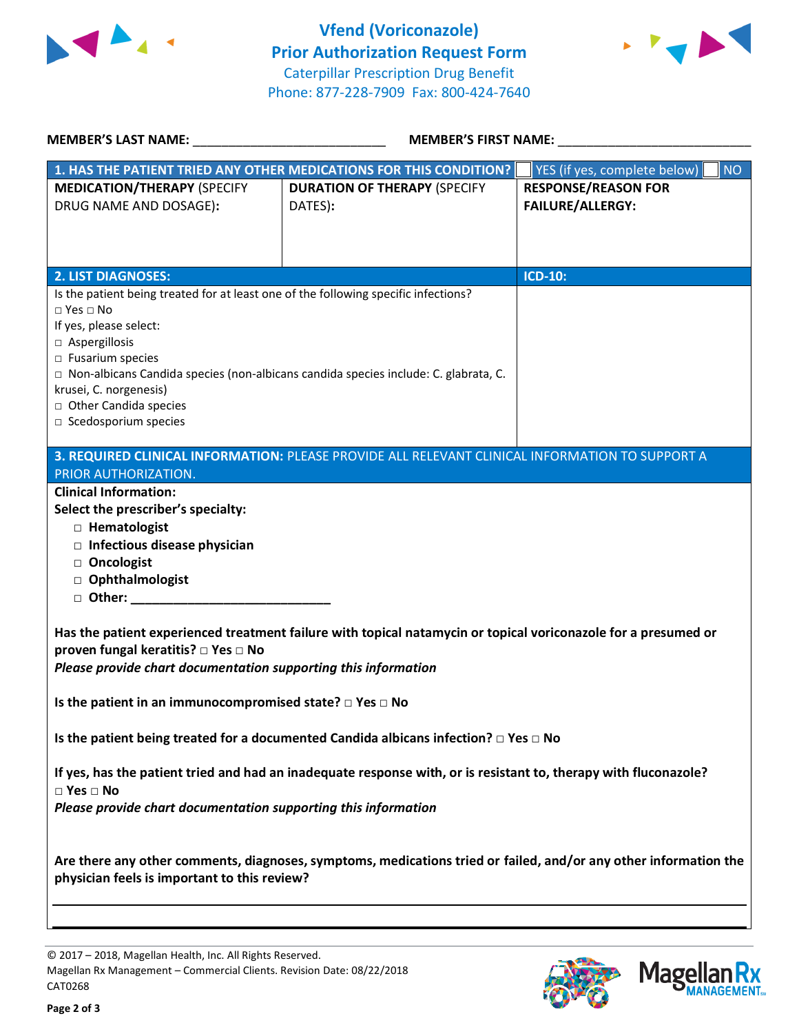



| <b>MEMBER'S LAST NAME:</b> NAME:                                                                                                                                                                                                                                   | MEMBER'S FIRST NAME:                                                                                             |                                                                                                                  |  |
|--------------------------------------------------------------------------------------------------------------------------------------------------------------------------------------------------------------------------------------------------------------------|------------------------------------------------------------------------------------------------------------------|------------------------------------------------------------------------------------------------------------------|--|
|                                                                                                                                                                                                                                                                    | 1. HAS THE PATIENT TRIED ANY OTHER MEDICATIONS FOR THIS CONDITION?                                               | YES (if yes, complete below)<br><b>NO</b>                                                                        |  |
| <b>MEDICATION/THERAPY (SPECIFY</b><br>DRUG NAME AND DOSAGE):                                                                                                                                                                                                       | <b>DURATION OF THERAPY (SPECIFY</b><br>DATES):                                                                   | <b>RESPONSE/REASON FOR</b><br><b>FAILURE/ALLERGY:</b>                                                            |  |
| <b>2. LIST DIAGNOSES:</b>                                                                                                                                                                                                                                          |                                                                                                                  | <b>ICD-10:</b>                                                                                                   |  |
| Is the patient being treated for at least one of the following specific infections?<br>$\Box$ Yes $\Box$ No<br>If yes, please select:<br>□ Aspergillosis<br>$\Box$ Fusarium species<br>krusei, C. norgenesis)<br>□ Other Candida species<br>□ Scedosporium species | □ Non-albicans Candida species (non-albicans candida species include: C. glabrata, C.                            |                                                                                                                  |  |
| PRIOR AUTHORIZATION.                                                                                                                                                                                                                                               | 3. REQUIRED CLINICAL INFORMATION: PLEASE PROVIDE ALL RELEVANT CLINICAL INFORMATION TO SUPPORT A                  |                                                                                                                  |  |
| Select the prescriber's specialty:<br>□ Hematologist<br>$\Box$ Infectious disease physician<br>□ Oncologist<br>□ Ophthalmologist<br>proven fungal keratitis? □ Yes □ No                                                                                            | Has the patient experienced treatment failure with topical natamycin or topical voriconazole for a presumed or   |                                                                                                                  |  |
| Please provide chart documentation supporting this information                                                                                                                                                                                                     |                                                                                                                  |                                                                                                                  |  |
| Is the patient in an immunocompromised state? $\Box$ Yes $\Box$ No                                                                                                                                                                                                 |                                                                                                                  |                                                                                                                  |  |
|                                                                                                                                                                                                                                                                    | Is the patient being treated for a documented Candida albicans infection? $\Box$ Yes $\Box$ No                   |                                                                                                                  |  |
| $\square$ Yes $\square$ No<br>Please provide chart documentation supporting this information                                                                                                                                                                       | If yes, has the patient tried and had an inadequate response with, or is resistant to, therapy with fluconazole? |                                                                                                                  |  |
| physician feels is important to this review?                                                                                                                                                                                                                       |                                                                                                                  | Are there any other comments, diagnoses, symptoms, medications tried or failed, and/or any other information the |  |
|                                                                                                                                                                                                                                                                    |                                                                                                                  |                                                                                                                  |  |

© 2017 – 2018, Magellan Health, Inc. All Rights Reserved. Magellan Rx Management – Commercial Clients. Revision Date: 08/22/2018 CAT0268